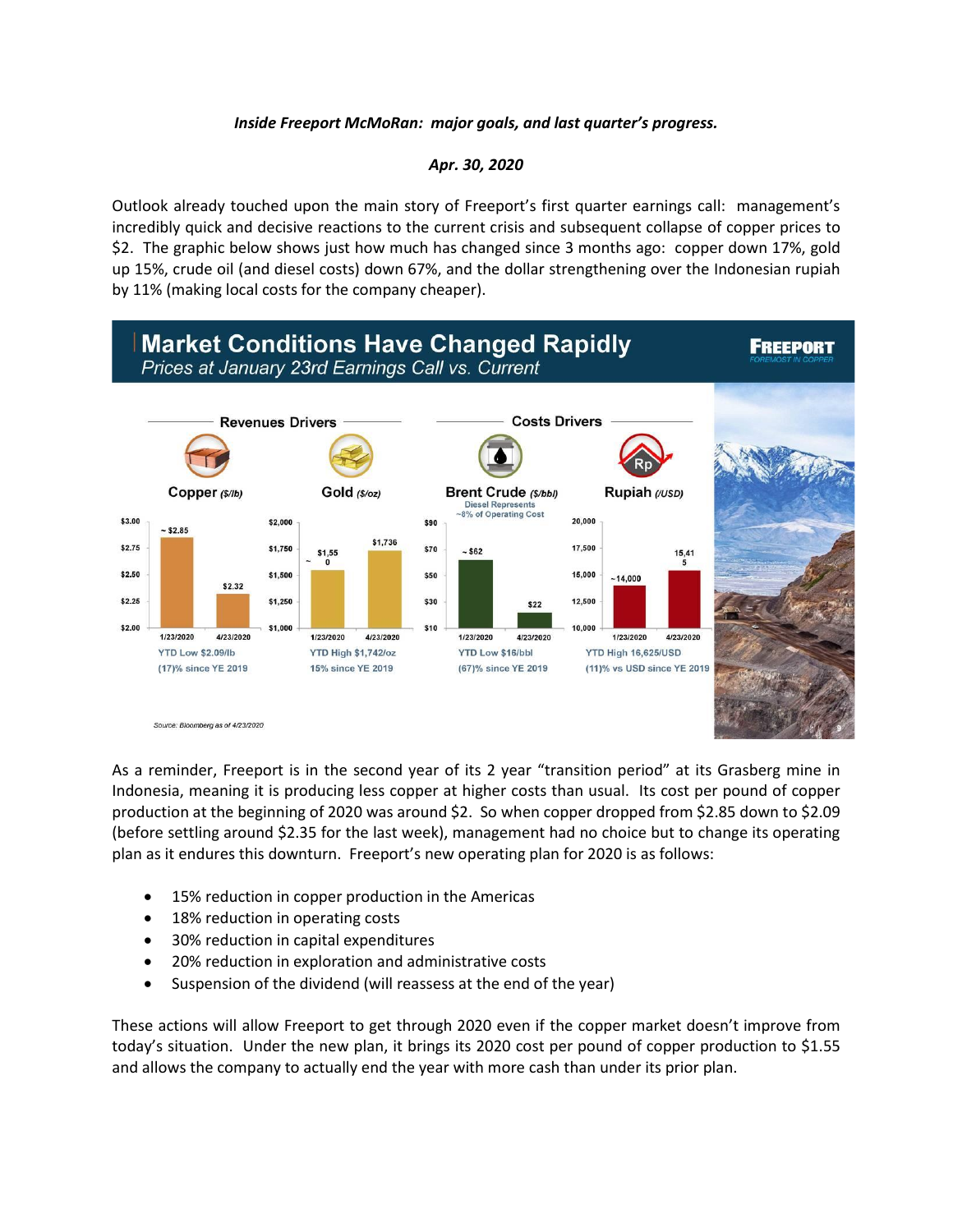## *Inside Freeport McMoRan: major goals, and last quarter's progress.*

## *Apr. 30, 2020*

Outlook already touched upon the main story of Freeport's first quarter earnings call: management's incredibly quick and decisive reactions to the current crisis and subsequent collapse of copper prices to \$2. The graphic below shows just how much has changed since 3 months ago: copper down 17%, gold up 15%, crude oil (and diesel costs) down 67%, and the dollar strengthening over the Indonesian rupiah by 11% (making local costs for the company cheaper).



As a reminder, Freeport is in the second year of its 2 year "transition period" at its Grasberg mine in Indonesia, meaning it is producing less copper at higher costs than usual. Its cost per pound of copper production at the beginning of 2020 was around \$2. So when copper dropped from \$2.85 down to \$2.09 (before settling around \$2.35 for the last week), management had no choice but to change its operating plan as it endures this downturn. Freeport's new operating plan for 2020 is as follows:

- 15% reduction in copper production in the Americas
- 18% reduction in operating costs
- 30% reduction in capital expenditures
- 20% reduction in exploration and administrative costs
- Suspension of the dividend (will reassess at the end of the year)

These actions will allow Freeport to get through 2020 even if the copper market doesn't improve from today's situation. Under the new plan, it brings its 2020 cost per pound of copper production to \$1.55 and allows the company to actually end the year with more cash than under its prior plan.